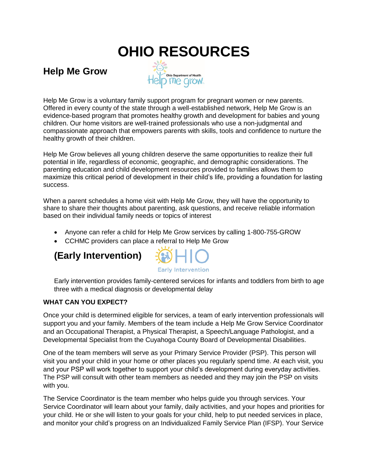# **OHIO RESOURCES**

**Help Me Grow** 



Help Me Grow is a voluntary family support program for pregnant women or new parents. Offered in every county of the state through a well-established network, Help Me Grow is an evidence-based program that promotes healthy growth and development for babies and young children. Our home visitors are well-trained professionals who use a non-judgmental and compassionate approach that empowers parents with skills, tools and confidence to nurture the healthy growth of their children.

Help Me Grow believes all young children deserve the same opportunities to realize their full potential in life, regardless of economic, geographic, and demographic considerations. The parenting education and child development resources provided to families allows them to maximize this critical period of development in their child's life, providing a foundation for lasting success.

When a parent schedules a home visit with Help Me Grow, they will have the opportunity to share to share their thoughts about parenting, ask questions, and receive reliable information based on their individual family needs or topics of interest

- Anyone can refer a child for Help Me Grow services by calling 1-800-755-GROW
- CCHMC providers can place a referral to Help Me Grow

## **(Early Intervention)**



Early intervention provides family-centered services for infants and toddlers from birth to age three with a medical diagnosis or developmental delay

#### **WHAT CAN YOU EXPECT?**

Once your child is determined eligible for services, a team of early intervention professionals will support you and your family. Members of the team include a Help Me Grow Service Coordinator and an Occupational Therapist, a Physical Therapist, a Speech/Language Pathologist, and a Developmental Specialist from the Cuyahoga County Board of Developmental Disabilities.

One of the team members will serve as your Primary Service Provider (PSP). This person will visit you and your child in your home or other places you regularly spend time. At each visit, you and your PSP will work together to support your child's development during everyday activities. The PSP will consult with other team members as needed and they may join the PSP on visits with you.

The Service Coordinator is the team member who helps guide you through services. Your Service Coordinator will learn about your family, daily activities, and your hopes and priorities for your child. He or she will listen to your goals for your child, help to put needed services in place, and monitor your child's progress on an Individualized Family Service Plan (IFSP). Your Service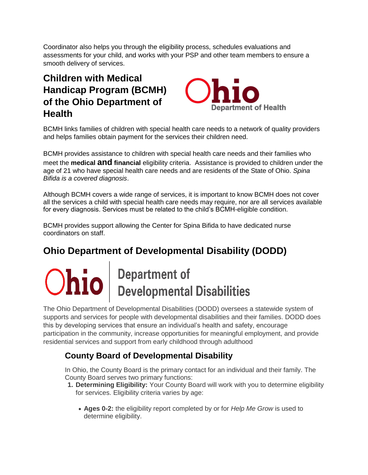Coordinator also helps you through the eligibility process, schedules evaluations and assessments for your child, and works with your PSP and other team members to ensure a smooth delivery of services.

# **Children with Medical Handicap Program (BCMH) of the Ohio Department of Health**



BCMH links families of children with special health care needs to a network of quality providers and helps families obtain payment for the services their children need.

BCMH provides assistance to children with special health care needs and their families who meet the **medical and financial** eligibility criteria. Assistance is provided to children under the age of 21 who have special health care needs and are residents of the State of Ohio. *Spina Bifida is a covered diagnosis*.

Although BCMH covers a wide range of services, it is important to know BCMH does not cover all the services a child with special health care needs may require, nor are all services available for every diagnosis. Services must be related to the child's BCMH-eligible condition.

BCMH provides support allowing the Center for Spina Bifida to have dedicated nurse coordinators on staff.

# **Ohio Department of Developmental Disability (DODD)**

# $\left| \textbf{hio} \right|$  Department of<br>Developmental Disabilities

The Ohio Department of Developmental Disabilities (DODD) oversees a statewide system of supports and services for people with developmental disabilities and their families. DODD does this by developing services that ensure an individual's health and safety, encourage participation in the community, increase opportunities for meaningful employment, and provide residential services and support from early childhood through adulthood

## **County Board of Developmental Disability**

In Ohio, the County Board is the primary contact for an individual and their family. The County Board serves two primary functions:

- **1. Determining Eligibility:** Your County Board will work with you to determine eligibility for services. Eligibility criteria varies by age:
	- **Ages 0-2:** the eligibility report completed by or for *Help Me Grow* is used to determine eligibility.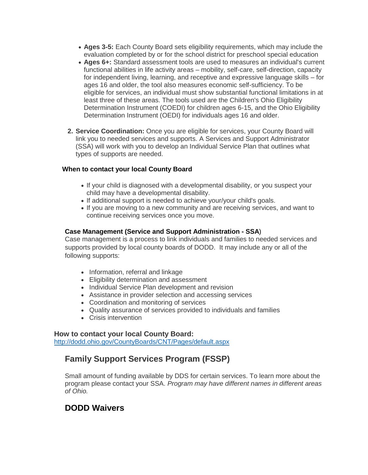- **Ages 3-5:** Each County Board sets eligibility requirements, which may include the evaluation completed by or for the school district for preschool special education
- **Ages 6+:** Standard assessment tools are used to measures an individual's current functional abilities in life activity areas – mobility, self-care, self-direction, capacity for independent living, learning, and receptive and expressive language skills – for ages 16 and older, the tool also measures economic self-sufficiency. To be eligible for services, an individual must show substantial functional limitations in at least three of these areas. The tools used are the Children's Ohio Eligibility Determination Instrument (COEDI) for children ages 6-15, and the Ohio Eligibility Determination Instrument (OEDI) for individuals ages 16 and older.
- **2. Service Coordination:** Once you are eligible for services, your County Board will link you to needed services and supports. A Services and Support Administrator (SSA) will work with you to develop an Individual Service Plan that outlines what types of supports are needed.

#### **When to contact your local County Board**

- If your child is diagnosed with a developmental disability, or you suspect your child may have a developmental disability.
- If additional support is needed to achieve your/your child's goals.
- If you are moving to a new community and are receiving services, and want to continue receiving services once you move.

#### **Case Management (Service and Support Administration - SSA**)

Case management is a process to link individuals and families to needed services and supports provided by local county boards of DODD. It may include any or all of the following supports:

- Information, referral and linkage
- Eligibility determination and assessment
- Individual Service Plan development and revision
- Assistance in provider selection and accessing services
- Coordination and monitoring of services
- Quality assurance of services provided to individuals and families
- Crisis intervention

#### **How to contact your local County Board:**

<http://dodd.ohio.gov/CountyBoards/CNT/Pages/default.aspx>

## **Family Support Services Program (FSSP)**

Small amount of funding available by DDS for certain services. To learn more about the program please contact your SSA. *Program may have different names in different areas of Ohio.*

### **DODD Waivers**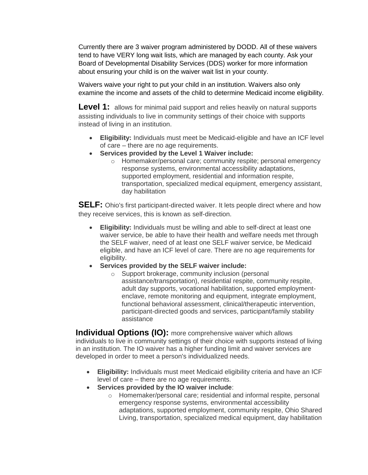Currently there are 3 waiver program administered by DODD. All of these waivers tend to have VERY long wait lists, which are managed by each county. Ask your Board of Developmental Disability Services (DDS) worker for more information about ensuring your child is on the waiver wait list in your county.

Waivers waive your right to put your child in an institution. Waivers also only examine the income and assets of the child to determine Medicaid income eligibility.

**Level 1:** allows for minimal paid support and relies heavily on natural supports assisting individuals to live in community settings of their choice with supports instead of living in an institution.

- **Eligibility:** Individuals must meet be Medicaid-eligible and have an ICF level of care – there are no age requirements.
- **Services provided by the Level 1 Waiver include:**
	- o Homemaker/personal care; community respite; personal emergency response systems, environmental accessibility adaptations, supported employment, residential and information respite, transportation, specialized medical equipment, emergency assistant, day habilitation

**SELF:** Ohio's first participant-directed waiver. It lets people direct where and how they receive services, this is known as self-direction.

- **Eligibility:** Individuals must be willing and able to self-direct at least one waiver service, be able to have their health and welfare needs met through the SELF waiver, need of at least one SELF waiver service, be Medicaid eligible, and have an ICF level of care. There are no age requirements for eligibility.
- **Services provided by the SELF waiver include:** 
	- o Support brokerage, community inclusion (personal assistance/transportation), residential respite, community respite, adult day supports, vocational habilitation, supported employmentenclave, remote monitoring and equipment, integrate employment, functional behavioral assessment, clinical/therapeutic intervention, participant-directed goods and services, participant/family stability assistance

**Individual Options (IO):** more comprehensive waiver which allows individuals to live in community settings of their choice with supports instead of living in an institution. The IO waiver has a higher funding limit and waiver services are developed in order to meet a person's individualized needs.

- **Eligibility:** Individuals must meet Medicaid eligibility criteria and have an ICF level of care – there are no age requirements.
- **Services provided by the IO waiver include**:
	- o Homemaker/personal care; residential and informal respite, personal emergency response systems, environmental accessibility adaptations, supported employment, community respite, Ohio Shared Living, transportation, specialized medical equipment, day habilitation